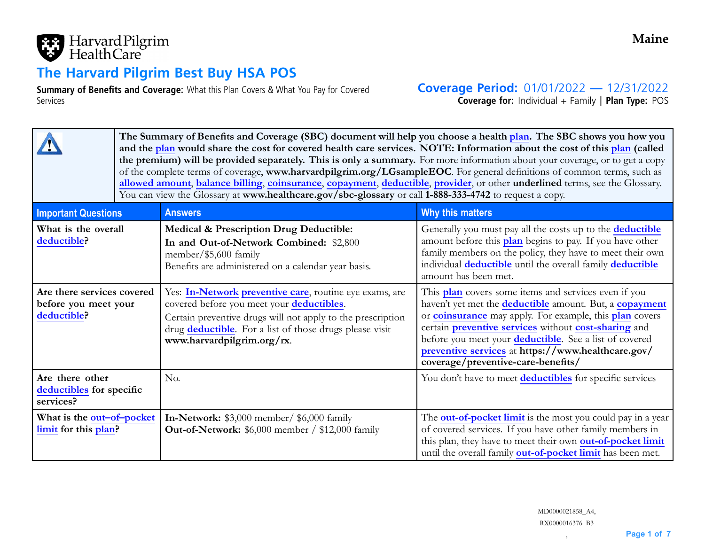

# **The Harvard Pilgrim Best Buy HSA POS**

**Summary of Benefits and Coverage:** What this Plan Covers & What You Pay for Covered Services

**Coverage Period:** 01/01/2022 **—** 12/31/2022

**Coverage for:** Individual <sup>+</sup> Family | **Plan Type:** POS

|                                                                   |  | The Summary of Benefits and Coverage (SBC) document will help you choose a health <mark>plan</mark> . The SBC shows you how you<br>and the plan would share the cost for covered health care services. NOTE: Information about the cost of this plan (called<br>the premium) will be provided separately. This is only a summary. For more information about your coverage, or to get a copy<br>of the complete terms of coverage, www.harvardpilgrim.org/LGsampleEOC. For general definitions of common terms, such as<br>allowed amount, balance billing, coinsurance, copayment, deductible, provider, or other underlined terms, see the Glossary.<br>You can view the Glossary at www.healthcare.gov/sbc-glossary or call 1-888-333-4742 to request a copy. |                                                                                                                                                                                                                                                                                                                                                                                                                              |  |  |  |  |
|-------------------------------------------------------------------|--|------------------------------------------------------------------------------------------------------------------------------------------------------------------------------------------------------------------------------------------------------------------------------------------------------------------------------------------------------------------------------------------------------------------------------------------------------------------------------------------------------------------------------------------------------------------------------------------------------------------------------------------------------------------------------------------------------------------------------------------------------------------|------------------------------------------------------------------------------------------------------------------------------------------------------------------------------------------------------------------------------------------------------------------------------------------------------------------------------------------------------------------------------------------------------------------------------|--|--|--|--|
| <b>Important Questions</b>                                        |  | <b>Answers</b>                                                                                                                                                                                                                                                                                                                                                                                                                                                                                                                                                                                                                                                                                                                                                   | Why this matters                                                                                                                                                                                                                                                                                                                                                                                                             |  |  |  |  |
| What is the overall<br>deductible?                                |  | <b>Medical &amp; Prescription Drug Deductible:</b><br>In and Out-of-Network Combined: \$2,800<br>member/ $$5,600$ family<br>Benefits are administered on a calendar year basis.                                                                                                                                                                                                                                                                                                                                                                                                                                                                                                                                                                                  | Generally you must pay all the costs up to the deductible<br>amount before this plan begins to pay. If you have other<br>family members on the policy, they have to meet their own<br>individual deductible until the overall family deductible<br>amount has been met.                                                                                                                                                      |  |  |  |  |
| Are there services covered<br>before you meet your<br>deductible? |  | Yes: In-Network preventive care, routine eye exams, are<br>covered before you meet your deductibles.<br>Certain preventive drugs will not apply to the prescription<br>drug deductible. For a list of those drugs please visit<br>www.harvardpilgrim.org/rx.                                                                                                                                                                                                                                                                                                                                                                                                                                                                                                     | This plan covers some items and services even if you<br>haven't yet met the <b>deductible</b> amount. But, a <b>copayment</b><br>or <b>coinsurance</b> may apply. For example, this <b>plan</b> covers<br>certain preventive services without cost-sharing and<br>before you meet your <b>deductible</b> . See a list of covered<br>preventive services at https://www.healthcare.gov/<br>coverage/preventive-care-benefits/ |  |  |  |  |
| Are there other<br>deductibles for specific<br>services?          |  | No.                                                                                                                                                                                                                                                                                                                                                                                                                                                                                                                                                                                                                                                                                                                                                              | You don't have to meet deductibles for specific services                                                                                                                                                                                                                                                                                                                                                                     |  |  |  |  |
| What is the out-of-pocket<br>limit for this plan?                 |  | In-Network: \$3,000 member/ \$6,000 family<br><b>Out-of-Network:</b> \$6,000 member / \$12,000 family                                                                                                                                                                                                                                                                                                                                                                                                                                                                                                                                                                                                                                                            | The <b>out-of-pocket limit</b> is the most you could pay in a year<br>of covered services. If you have other family members in<br>this plan, they have to meet their own out-of-pocket limit<br>until the overall family out-of-pocket limit has been met.                                                                                                                                                                   |  |  |  |  |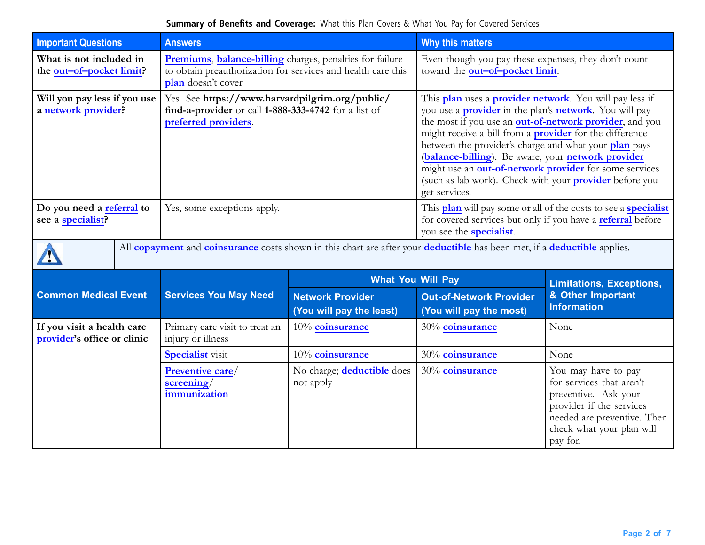| <b>Important Questions</b>                                | <b>Answers</b>                                                                                                                                 |                                                     | <b>Why this matters</b>                                                                                                                                                                                                                                                                                                                                                                                                                                                                                            |                                                                                                                                                                             |  |  |
|-----------------------------------------------------------|------------------------------------------------------------------------------------------------------------------------------------------------|-----------------------------------------------------|--------------------------------------------------------------------------------------------------------------------------------------------------------------------------------------------------------------------------------------------------------------------------------------------------------------------------------------------------------------------------------------------------------------------------------------------------------------------------------------------------------------------|-----------------------------------------------------------------------------------------------------------------------------------------------------------------------------|--|--|
| What is not included in<br>the out-of-pocket limit?       | Premiums, balance-billing charges, penalties for failure<br>to obtain preauthorization for services and health care this<br>plan doesn't cover |                                                     | Even though you pay these expenses, they don't count<br>toward the out-of-pocket limit.                                                                                                                                                                                                                                                                                                                                                                                                                            |                                                                                                                                                                             |  |  |
| Will you pay less if you use<br>a network provider?       | Yes. See https://www.harvardpilgrim.org/public/<br>find-a-provider or call 1-888-333-4742 for a list of<br>preferred providers.                |                                                     | This plan uses a provider network. You will pay less if<br>you use a <b>provider</b> in the plan's <b>network</b> . You will pay<br>the most if you use an out-of-network provider, and you<br>might receive a bill from a <b>provider</b> for the difference<br>between the provider's charge and what your plan pays<br>(balance-billing). Be aware, your network provider<br>might use an out-of-network provider for some services<br>(such as lab work). Check with your provider before you<br>get services. |                                                                                                                                                                             |  |  |
| Do you need a referral to<br>see a specialist?            | Yes, some exceptions apply.                                                                                                                    |                                                     | This plan will pay some or all of the costs to see a specialist<br>for covered services but only if you have a referral before<br>you see the <b>specialist</b> .                                                                                                                                                                                                                                                                                                                                                  |                                                                                                                                                                             |  |  |
|                                                           | All copayment and coinsurance costs shown in this chart are after your deductible has been met, if a deductible applies.                       |                                                     |                                                                                                                                                                                                                                                                                                                                                                                                                                                                                                                    |                                                                                                                                                                             |  |  |
|                                                           | <b>Services You May Need</b>                                                                                                                   | <b>What You Will Pay</b>                            |                                                                                                                                                                                                                                                                                                                                                                                                                                                                                                                    | <b>Limitations, Exceptions,</b><br>& Other Important<br><b>Information</b>                                                                                                  |  |  |
| <b>Common Medical Event</b>                               |                                                                                                                                                | <b>Network Provider</b><br>(You will pay the least) | <b>Out-of-Network Provider</b><br>(You will pay the most)                                                                                                                                                                                                                                                                                                                                                                                                                                                          |                                                                                                                                                                             |  |  |
| If you visit a health care<br>provider's office or clinic | Primary care visit to treat an<br>injury or illness                                                                                            | 10% coinsurance                                     | 30% coinsurance                                                                                                                                                                                                                                                                                                                                                                                                                                                                                                    | None                                                                                                                                                                        |  |  |
|                                                           | <b>Specialist</b> visit                                                                                                                        | 10% coinsurance                                     | 30% coinsurance                                                                                                                                                                                                                                                                                                                                                                                                                                                                                                    | None                                                                                                                                                                        |  |  |
|                                                           | Preventive care/<br>screening/<br>immunization                                                                                                 | No charge; deductible does<br>not apply             | 30% coinsurance                                                                                                                                                                                                                                                                                                                                                                                                                                                                                                    | You may have to pay<br>for services that aren't<br>preventive. Ask your<br>provider if the services<br>needed are preventive. Then<br>check what your plan will<br>pay for. |  |  |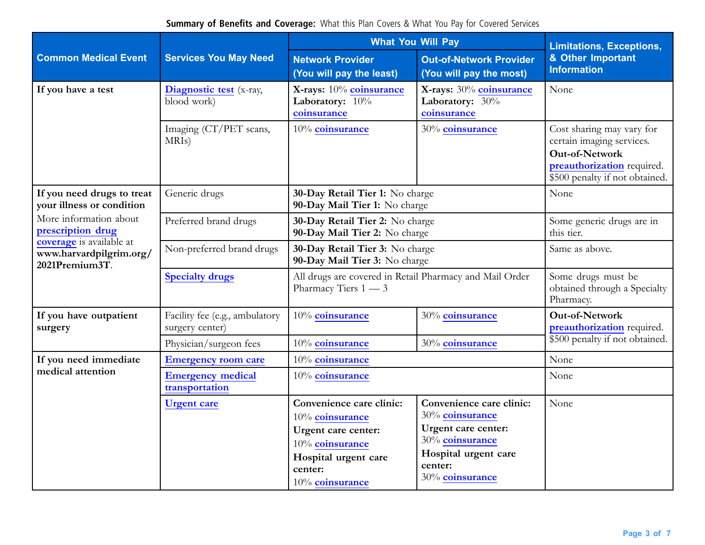|                                                                       |                                                   | <b>What You Will Pay</b>                                                                                                                    | <b>Limitations, Exceptions,</b>                                                                                                             |                                                                                                                                                 |
|-----------------------------------------------------------------------|---------------------------------------------------|---------------------------------------------------------------------------------------------------------------------------------------------|---------------------------------------------------------------------------------------------------------------------------------------------|-------------------------------------------------------------------------------------------------------------------------------------------------|
| <b>Common Medical Event</b>                                           | <b>Services You May Need</b>                      | <b>Network Provider</b><br>(You will pay the least)                                                                                         | <b>Out-of-Network Provider</b><br>(You will pay the most)                                                                                   | & Other Important<br><b>Information</b>                                                                                                         |
| If you have a test                                                    | Diagnostic test (x-ray,<br>blood work)            | X-rays: 10% coinsurance<br>X-rays: 30% coinsurance<br>Laboratory: 10%<br>Laboratory: 30%<br>coinsurance<br>coinsurance                      |                                                                                                                                             | None                                                                                                                                            |
|                                                                       | Imaging (CT/PET scans,<br>MRI <sub>s</sub> )      | 10% coinsurance                                                                                                                             | 30% coinsurance                                                                                                                             | Cost sharing may vary for<br>certain imaging services.<br><b>Out-of-Network</b><br>preauthorization required.<br>\$500 penalty if not obtained. |
| If you need drugs to treat<br>your illness or condition               | Generic drugs                                     | 30-Day Retail Tier 1: No charge<br>90-Day Mail Tier 1: No charge                                                                            |                                                                                                                                             | None                                                                                                                                            |
| More information about<br>prescription drug                           | Preferred brand drugs                             | 30-Day Retail Tier 2: No charge<br>90-Day Mail Tier 2: No charge                                                                            |                                                                                                                                             | Some generic drugs are in<br>this tier.                                                                                                         |
| coverage is available at<br>www.harvardpilgrim.org/<br>2021Premium3T. | Non-preferred brand drugs                         | 30-Day Retail Tier 3: No charge<br>90-Day Mail Tier 3: No charge                                                                            |                                                                                                                                             | Same as above.                                                                                                                                  |
|                                                                       | <b>Specialty drugs</b>                            | All drugs are covered in Retail Pharmacy and Mail Order<br>Pharmacy Tiers $1 - 3$                                                           |                                                                                                                                             | Some drugs must be<br>obtained through a Specialty<br>Pharmacy.                                                                                 |
| If you have outpatient<br>surgery                                     | Facility fee (e.g., ambulatory<br>surgery center) | 10% coinsurance                                                                                                                             | 30% coinsurance                                                                                                                             | <b>Out-of-Network</b><br>preauthorization required.                                                                                             |
|                                                                       | Physician/surgeon fees                            | 10% coinsurance                                                                                                                             | 30% coinsurance                                                                                                                             | \$500 penalty if not obtained.                                                                                                                  |
| If you need immediate                                                 | <b>Emergency room care</b>                        | 10% coinsurance                                                                                                                             |                                                                                                                                             | None                                                                                                                                            |
| medical attention                                                     | <b>Emergency medical</b><br>transportation        | 10% coinsurance                                                                                                                             |                                                                                                                                             | None                                                                                                                                            |
|                                                                       | <b>Urgent care</b>                                | Convenience care clinic:<br>10% coinsurance<br>Urgent care center:<br>10% coinsurance<br>Hospital urgent care<br>center:<br>10% coinsurance | Convenience care clinic:<br>30% coinsurance<br>Urgent care center:<br>30% coinsurance<br>Hospital urgent care<br>center:<br>30% coinsurance | None                                                                                                                                            |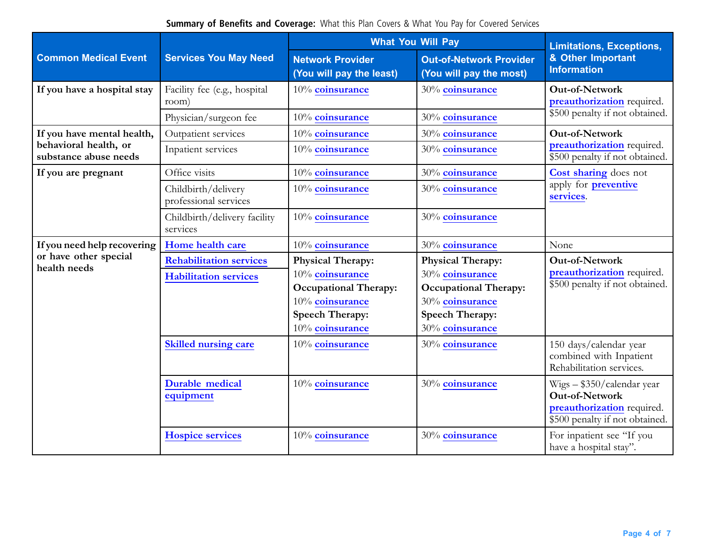|                                                | <b>Services You May Need</b>                 | <b>What You Will Pay</b>                            | <b>Limitations, Exceptions,</b>                           |                                                                                                                      |  |
|------------------------------------------------|----------------------------------------------|-----------------------------------------------------|-----------------------------------------------------------|----------------------------------------------------------------------------------------------------------------------|--|
| <b>Common Medical Event</b>                    |                                              | <b>Network Provider</b><br>(You will pay the least) | <b>Out-of-Network Provider</b><br>(You will pay the most) | & Other Important<br><b>Information</b>                                                                              |  |
| If you have a hospital stay                    | Facility fee (e.g., hospital<br>room)        | 10% coinsurance                                     | 30% coinsurance                                           | Out-of-Network<br>preauthorization required.                                                                         |  |
|                                                | Physician/surgeon fee                        | 10% coinsurance                                     | 30% coinsurance                                           | \$500 penalty if not obtained.                                                                                       |  |
| If you have mental health,                     | Outpatient services                          | 10% coinsurance                                     | 30% coinsurance                                           | <b>Out-of-Network</b>                                                                                                |  |
| behavioral health, or<br>substance abuse needs | Inpatient services                           | 10% coinsurance                                     | 30% coinsurance                                           | preauthorization required.<br>\$500 penalty if not obtained.                                                         |  |
| If you are pregnant                            | Office visits                                | 10% coinsurance                                     | 30% coinsurance                                           | Cost sharing does not                                                                                                |  |
|                                                | Childbirth/delivery<br>professional services | 10% coinsurance                                     | 30% coinsurance                                           | apply for <b>preventive</b><br>services.                                                                             |  |
|                                                | Childbirth/delivery facility<br>services     | 10% coinsurance                                     | 30% coinsurance                                           |                                                                                                                      |  |
| If you need help recovering                    | Home health care                             | 10% coinsurance                                     | 30% coinsurance                                           | None                                                                                                                 |  |
| or have other special                          | <b>Rehabilitation services</b>               | <b>Physical Therapy:</b>                            | <b>Physical Therapy:</b>                                  | Out-of-Network                                                                                                       |  |
| health needs                                   | <b>Habilitation services</b>                 | 10% coinsurance                                     | 30% coinsurance                                           | preauthorization required.                                                                                           |  |
|                                                |                                              | <b>Occupational Therapy:</b>                        | <b>Occupational Therapy:</b>                              | \$500 penalty if not obtained.                                                                                       |  |
|                                                |                                              | 10% coinsurance                                     | 30% coinsurance                                           |                                                                                                                      |  |
|                                                |                                              | <b>Speech Therapy:</b><br>10% coinsurance           | <b>Speech Therapy:</b><br>30% coinsurance                 |                                                                                                                      |  |
|                                                | <b>Skilled nursing care</b>                  | 10% coinsurance                                     | 30% coinsurance                                           | 150 days/calendar year<br>combined with Inpatient                                                                    |  |
|                                                |                                              |                                                     |                                                           | Rehabilitation services.                                                                                             |  |
|                                                | <b>Durable medical</b><br>equipment          | 10% coinsurance                                     | 30% coinsurance                                           | $Wigs - $350/calendar$ year<br><b>Out-of-Network</b><br>preauthorization required.<br>\$500 penalty if not obtained. |  |
|                                                | <b>Hospice services</b>                      | 10% coinsurance                                     | 30% coinsurance                                           | For inpatient see "If you<br>have a hospital stay".                                                                  |  |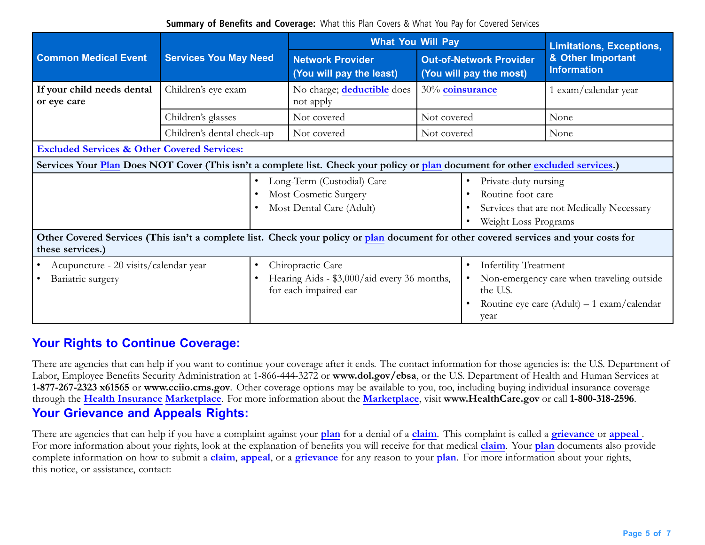|                                                                                                                                                          | <b>What You Will Pay</b>                                                                                                        |                                                                                           |                                                                                                                | <b>Limitations, Exceptions,</b>                               |                                                                                           |  |
|----------------------------------------------------------------------------------------------------------------------------------------------------------|---------------------------------------------------------------------------------------------------------------------------------|-------------------------------------------------------------------------------------------|----------------------------------------------------------------------------------------------------------------|---------------------------------------------------------------|-------------------------------------------------------------------------------------------|--|
| <b>Common Medical Event</b>                                                                                                                              | <b>Services You May Need</b>                                                                                                    | <b>Network Provider</b><br>(You will pay the least)                                       | <b>Out-of-Network Provider</b><br>(You will pay the most)                                                      |                                                               | & Other Important<br><b>Information</b>                                                   |  |
| If your child needs dental<br>or eye care                                                                                                                | Children's eye exam                                                                                                             | No charge; <b>deductible</b> does<br>not apply                                            | 30% coinsurance                                                                                                |                                                               | 1 exam/calendar year                                                                      |  |
|                                                                                                                                                          | Children's glasses                                                                                                              | Not covered                                                                               | Not covered                                                                                                    |                                                               | None                                                                                      |  |
|                                                                                                                                                          | Children's dental check-up                                                                                                      | Not covered                                                                               | Not covered                                                                                                    |                                                               | None                                                                                      |  |
| <b>Excluded Services &amp; Other Covered Services:</b>                                                                                                   |                                                                                                                                 |                                                                                           |                                                                                                                |                                                               |                                                                                           |  |
|                                                                                                                                                          | Services Your Plan Does NOT Cover (This isn't a complete list. Check your policy or plan document for other excluded services.) |                                                                                           |                                                                                                                |                                                               |                                                                                           |  |
|                                                                                                                                                          |                                                                                                                                 | Long-Term (Custodial) Care<br>Most Cosmetic Surgery<br>Most Dental Care (Adult)           | Private-duty nursing<br>Routine foot care<br>Services that are not Medically Necessary<br>Weight Loss Programs |                                                               |                                                                                           |  |
| Other Covered Services (This isn't a complete list. Check your policy or plan document for other covered services and your costs for<br>these services.) |                                                                                                                                 |                                                                                           |                                                                                                                |                                                               |                                                                                           |  |
| Acupuncture - 20 visits/calendar year<br>Bariatric surgery                                                                                               | $\bullet$                                                                                                                       | Chiropractic Care<br>Hearing Aids - \$3,000/aid every 36 months,<br>for each impaired ear |                                                                                                                | <b>Infertility Treatment</b><br>$\bullet$<br>the U.S.<br>year | Non-emergency care when traveling outside<br>Routine eye care $(Adult) - 1$ exam/calendar |  |

### **Your Rights to Continue Coverage:**

There are agencies that can help if you want to continue your coverage after it ends. The contact information for those agencies is: the U.S. Department of Labor, Employee Benefits Security Administration at 1-866-444-3272 or **<www.dol.gov/ebsa>**, or the U.S. Department of Health and Human Services at **1-877-267-2323 x61565** or **www.cciio.cms.gov**. Other coverage options may be available to you, too, including buying individual insurance coverage through the **Health Insurance Marketplace**. For more information about the **Marketplace**, visit **[www.HealthCare.gov](http://www.HealthCare.gov)** or call **1-800-318-2596**. **Your Grievance and Appeals Rights:**

There are agencies that can help if you have <sup>a</sup> complaint against your **plan** for <sup>a</sup> denial of <sup>a</sup> **claim**. This complaint is called <sup>a</sup> **grievance** or **appeal** . For more information about your rights, look at the explanation of benefits you will receive for that medical **claim**. Your **plan** documents also provide complete information on how to submit <sup>a</sup> **claim**, **appeal**, or <sup>a</sup> **grievance** for any reason to your **plan**. For more information about your rights, this notice, or assistance, contact: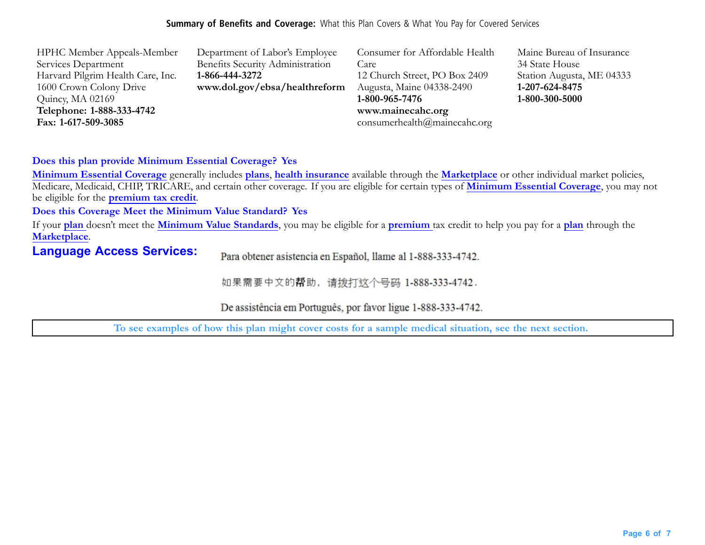| <b>HPHC Member Appeals-Member</b> | Department of Labor's Employee   | Consumer for Affordable Health | Maine Bureau of Insurance |
|-----------------------------------|----------------------------------|--------------------------------|---------------------------|
| Services Department               | Benefits Security Administration | Care                           | 34 State House            |
| Harvard Pilgrim Health Care, Inc. | 1-866-444-3272                   | 12 Church Street, PO Box 2409  | Station Augusta, ME 04333 |
| 1600 Crown Colony Drive           | www.dol.gov/ebsa/healthreform    | Augusta, Maine 04338-2490      | 1-207-624-8475            |
| Quincy, MA 02169                  |                                  | 1-800-965-7476                 | 1-800-300-5000            |
| Telephone: 1-888-333-4742         |                                  | www.mainecahc.org              |                           |
| Fax: 1-617-509-3085               |                                  | consumerhealth@mainecahc.org   |                           |

#### **Does this plan provide Minimum Essential Coverage? Yes**

**Minimum Essential Coverage** generally includes **plans**, **health insurance** available through the **Marketplace** or other individual market policies, Medicare, Medicaid, CHIP, TRICARE, and certain other coverage. If you are eligible for certain types of **Minimum Essential Coverage**, you may not be eligible for the **premium tax credit**.

#### **Does this Coverage Meet the Minimum Value Standard? Yes**

If your **plan** doesn't meet the **Minimum Value Standards**, you may be eligible for <sup>a</sup> **premium** tax credit to help you pay for <sup>a</sup> **plan** through the **Marketplace**.

### **Language Access Services:**

Para obtener asistencia en Español, llame al 1-888-333-4742.

如果需要中文的帮助,请拨打这个号码 1-888-333-4742.

De assistência em Português, por favor ligue 1-888-333-4742.

To see examples of how this plan might cover costs for a sample medical situation, see the next section.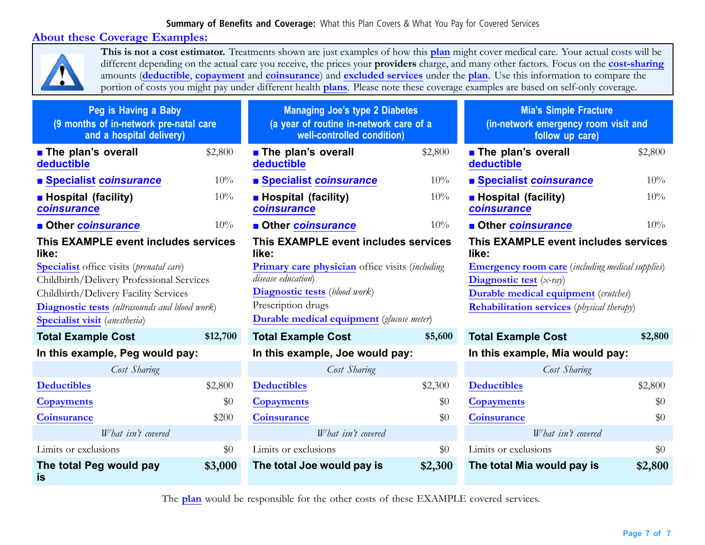### **About these Coverage Examples:**



**This is not <sup>a</sup> cost estimator.** Treatments shown are just examples of how this **plan** might cover medical care. Your actual costs will be different depending on the actual care you receive, the prices your **prov[iders](https://www.healthcare.gov/sbc-glossary/#provider)** charge, and many other factors. Focus on the **cost-sharing** amounts (**deductible**, **copayment** and **coinsurance**) and **excluded services** under the **plan**. Use this information to compare the portion of costs you might pay under different health **plans**. Please note these coverage examples are based on self-only coverage.

| Peg is Having a Baby<br>(9 months of in-network pre-natal care<br>and a hospital delivery) |          | <b>Managing Joe's type 2 Diabetes</b><br>(a year of routine in-network care of a<br>well-controlled condition) |         | <b>Mia's Simple Fracture</b><br>(in-network emergency room visit and<br>follow up care) |         |
|--------------------------------------------------------------------------------------------|----------|----------------------------------------------------------------------------------------------------------------|---------|-----------------------------------------------------------------------------------------|---------|
| <b>The plan's overall</b><br>deductible                                                    | \$2,800  | <b>The plan's overall</b><br>deductible                                                                        | \$2,800 | <b>The plan's overall</b><br>deductible                                                 | \$2,800 |
| ■ Specialist coinsurance                                                                   | 10%      | ■ Specialist coinsurance                                                                                       | 10%     | <b>Specialist coinsurance</b>                                                           | 10%     |
| <b>Hospital (facility)</b><br>coinsurance                                                  | 10%      | <b>Hospital (facility)</b><br>coinsurance                                                                      | 10%     | <b>Hospital (facility)</b><br>coinsurance                                               | 10%     |
| <b>Other coinsurance</b>                                                                   | 10%      | <b>Other coinsurance</b>                                                                                       | 10%     | <b>Other coinsurance</b>                                                                | 10%     |
| This EXAMPLE event includes services<br>like:                                              |          | This EXAMPLE event includes services<br>like:                                                                  |         | This EXAMPLE event includes services<br>like:                                           |         |
| <b>Specialist</b> office visits (prenatal care)                                            |          | <b>Primary care physician</b> office visits (including                                                         |         | <b>Emergency room care</b> (including medical supplies)                                 |         |
| Childbirth/Delivery Professional Services                                                  |          | disease education)                                                                                             |         | Diagnostic test $(x-ray)$                                                               |         |
| Childbirth/Delivery Facility Services                                                      |          | <b>Diagnostic tests</b> (blood work)<br><b>Durable medical equipment</b> (crutches)                            |         |                                                                                         |         |
| <b>Diagnostic tests</b> (ultrasounds and blood work)                                       |          | Prescription drugs<br><b>Rehabilitation services</b> (physical therapy)                                        |         |                                                                                         |         |
| <b>Specialist visit</b> (anesthesia)                                                       |          | <b>Durable medical equipment</b> (glucose meter)                                                               |         |                                                                                         |         |
| <b>Total Example Cost</b>                                                                  | \$12,700 | <b>Total Example Cost</b>                                                                                      | \$5,600 | <b>Total Example Cost</b>                                                               | \$2,800 |
| In this example, Peg would pay:                                                            |          | In this example, Joe would pay:                                                                                |         | In this example, Mia would pay:                                                         |         |
| Cost Sharing                                                                               |          | Cost Sharing                                                                                                   |         | Cost Sharing                                                                            |         |
| <b>Deductibles</b>                                                                         | \$2,800  | <b>Deductibles</b>                                                                                             | \$2,300 | <b>Deductibles</b>                                                                      | \$2,800 |
| <b>Copayments</b>                                                                          | \$0      | <b>Copayments</b>                                                                                              | \$0     | <b>Copayments</b>                                                                       | \$0     |
| <b>Coinsurance</b>                                                                         | \$200    | <b>Coinsurance</b>                                                                                             | \$0     | <b>Coinsurance</b>                                                                      | \$0     |
| What isn't covered                                                                         |          | What isn't covered                                                                                             |         | What isn't covered                                                                      |         |
| Limits or exclusions                                                                       | \$0      | Limits or exclusions                                                                                           | \$0     | Limits or exclusions                                                                    | \$0     |
| The total Peg would pay<br>is                                                              | \$3,000  | The total Joe would pay is                                                                                     | \$2,300 | The total Mia would pay is                                                              | \$2,800 |

The **plan** would be responsible for the other costs of these EXAMPLE covered services.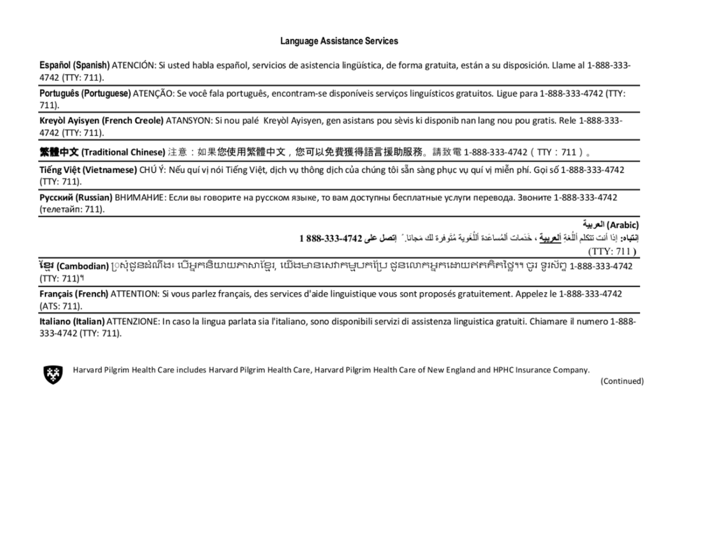#### Language Assistance Services

Español (Spanish) ATENCIÓN: Si usted habla español, servicios de asistencia lingüística, de forma gratuita, están a su disposición. Llame al 1-888-333-4742 (TTY: 711).

Português (Portuguese) ATENÇÃO: Se você fala português, encontram-se disponíveis serviços linguísticos gratuitos. Ligue para 1-888-333-4742 (TTY: 711).

Kreyòl Ayisyen (French Creole) ATANSYON: Si nou palé Kreyòl Ayisyen, gen asistans pou sèvis ki disponib nan lang nou pou gratis. Rele 1-888-333-4742 (TTY: 711).

**繁體中文 (Traditional Chinese)** 注意:如果您使用繁體中文,您可以免費獲得語言援助服務。請致電 1-888-333-4742(TTY:711)。

Tiếng Việt (Vietnamese) CHÚ Ý: Nếu quí vị nói Tiếng Việt, dịch vụ thông dịch của chúng tôi sẵn sàng phục vụ quí vị miễn phí. Gọi số 1-888-333-4742  $(TTY: 711).$ 

Русский (Russian) ВНИМАНИЕ: Если вы говорите на русском языке, то вам доступны бесплатные услуги перевода. Звоните 1-888-333-4742 (телетайп: 711).

(Arabic) العربية

إِنْقِيَاهِ: إذا أنت تتكلم أللُّغة ألع بِيهة ، خَدَمات ألمُساعَدَ ٱللُّغَوِية مُتَوفرة لك مَجانا ِ ً إتصل طي 4742-333-888 1

 $(TTY: 711)$ 

**ខែ្មរ (Cambodian)** [)ស្ងំជូនដំណឹង៖ បើអ្នកនិយាយភាសាខែ្មរ, យើងមានសេវាកម្មបកប្រែ ជូនលោកអ្នកដោយឥតគិតថ្លៃ។។ ចូរ ទូរស័ព្ទ 1-888-333-4742  $(TTY: 711)^9$ 

Français (French) ATTENTION: Si vous parlez français, des services d'aide linguistique vous sont proposés gratuitement. Appelez le 1-888-333-4742 (ATS: 711).

Italiano (Italian) ATTENZIONE: In caso la lingua parlata sia l'italiano, sono disponibili servizi di assistenza linguistica gratuiti. Chiamare il numero 1-888-333-4742 (TTY: 711).



Harvard Pilgrim Health Care includes Harvard Pilgrim Health Care, Harvard Pilgrim Health Care of New England and HPHC Insurance Company.

(Continued)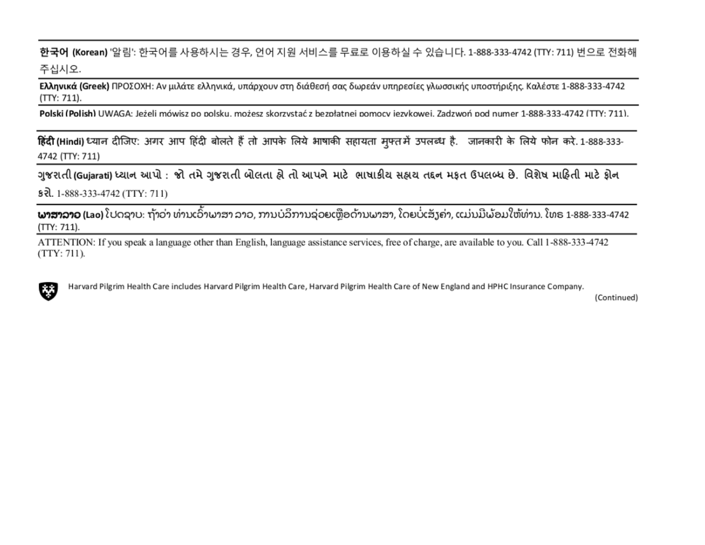한국어 (Korean) '알림': 한국어를 사용하시는 경우, 언어 지원 서비스를 무료로 이용하실 수 있습니다. 1-888-333-4742 (TTY: 711) 번으로 전화해 주십시오.

Ελληνικά (Greek) ΠΡΟΣΟΧΗ: Αν μιλάτε ελληνικά, υπάρχουν στη διάθεσή σας δωρεάν υπηρεσίες γλωσσικής υποστήριξης. Καλέστε 1-888-333-4742  $(TTY: 711).$ 

Polski (Polish) UWAGA: Jeżeli mówisz po polsku. możesz skorzystać z bezpłatnei pomocy iezykowei. Zadzwoń pod numer 1-888-333-4742 (TTY: 711).

हिंदी (Hindi) ध्यान दीजिए: अगर आप हिंदी बोलते हैं तो आपके लिये भाषाकी सहायता मुफ्तमें उपलब्ध है. जानकारी के लिये फोन करे. 1-888-333-4742 (TTY: 711)

ગુજરાતી (Gujarati) ધ્યાન આપો : જો તમે ગુજરાતી બોલતા હો તો આપને માટે ભાષાકીય સહ્યય તદ્દન મફત ઉપલબ્ધ છે. વિશેષ માહિતી માટે ફોન § री. 1-888-333-4742 (TTY: 711)

**ພາສາລາວ (Lao)** ໂປດຊາບ: ຖ້າວ່າ ທ່ານເວົ້າພາສາ ລາວ, ການບໍລິການຊ່ວຍເຫຼືອດ້ານພາສາ, ໂດຍບໍ່ເສັງຄ່າ, ແມ່ນມີພ້ອມໃຫ້ທ່ານ. ໂທຣ 1-888-333-4742 (TTY: 711).

ATTENTION: If you speak a language other than English, language assistance services, free of charge, are available to you. Call 1-888-333-4742  $(TTY: 711)$ .



Harvard Pilgrim Health Care includes Harvard Pilgrim Health Care, Harvard Pilgrim Health Care of New England and HPHC Insurance Company.

(Continued)